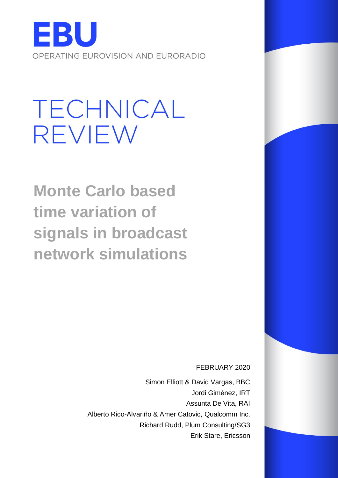

# **TECHNICAL REVIEW**

**Monte Carlo based time variation of signals in broadcast network simulations**

FEBRUARY 2020

Simon Elliott & David Vargas, BBC Jordi Giménez, IRT Assunta De Vita, RAI Alberto Rico-Alvariño & Amer Catovic, Qualcomm Inc. Richard Rudd, Plum Consulting/SG3 Erik Stare, Ericsson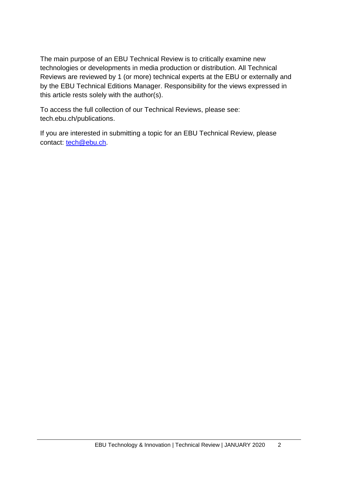The main purpose of an EBU Technical Review is to critically examine new technologies or developments in media production or distribution. All Technical Reviews are reviewed by 1 (or more) technical experts at the EBU or externally and by the EBU Technical Editions Manager. Responsibility for the views expressed in this article rests solely with the author(s).

To access the full collection of our Technical Reviews, please see: tech.ebu.ch/publications.

If you are interested in submitting a topic for an EBU Technical Review, please contact: [tech@ebu.ch.](mailto:tech@ebu.ch)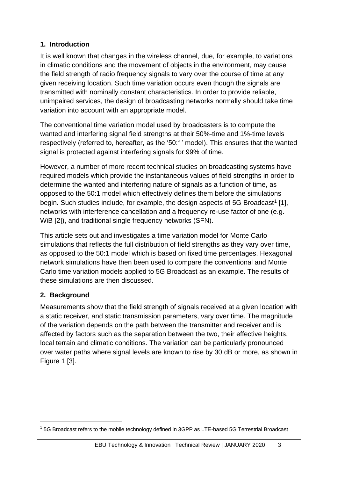### **1. Introduction**

It is well known that changes in the wireless channel, due, for example, to variations in climatic conditions and the movement of objects in the environment, may cause the field strength of radio frequency signals to vary over the course of time at any given receiving location. Such time variation occurs even though the signals are transmitted with nominally constant characteristics. In order to provide reliable, unimpaired services, the design of broadcasting networks normally should take time variation into account with an appropriate model.

The conventional time variation model used by broadcasters is to compute the wanted and interfering signal field strengths at their 50%-time and 1%-time levels respectively (referred to, hereafter, as the '50:1' model). This ensures that the wanted signal is protected against interfering signals for 99% of time.

However, a number of more recent technical studies on broadcasting systems have required models which provide the instantaneous values of field strengths in order to determine the wanted and interfering nature of signals as a function of time, as opposed to the 50:1 model which effectively defines them before the simulations begin. Such studies include, for example, the design aspects of 5G Broadcast<sup>1</sup> [1], networks with interference cancellation and a frequency re-use factor of one (e.g. WiB [2]), and traditional single frequency networks (SFN).

This article sets out and investigates a time variation model for Monte Carlo simulations that reflects the full distribution of field strengths as they vary over time, as opposed to the 50:1 model which is based on fixed time percentages. Hexagonal network simulations have then been used to compare the conventional and Monte Carlo time variation models applied to 5G Broadcast as an example. The results of these simulations are then discussed.

## **2. Background**

Measurements show that the field strength of signals received at a given location with a static receiver, and static transmission parameters, vary over time. The magnitude of the variation depends on the path between the transmitter and receiver and is affected by factors such as the separation between the two, their effective heights, local terrain and climatic conditions. The variation can be particularly pronounced over water paths where signal levels are known to rise by 30 dB or more, as shown in Figure 1 [3].

<sup>1</sup> 5G Broadcast refers to the mobile technology defined in 3GPP as LTE-based 5G Terrestrial Broadcast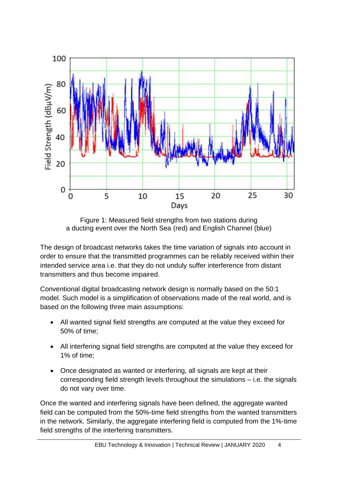

Figure 1: Measured field strengths from two stations during a ducting event over the North Sea (red) and English Channel (blue)

The design of broadcast networks takes the time variation of signals into account in order to ensure that the transmitted programmes can be reliably received within their intended service area i.e. that they do not unduly suffer interference from distant transmitters and thus become impaired.

Conventional digital broadcasting network design is normally based on the 50:1 model. Such model is a simplification of observations made of the real world, and is based on the following three main assumptions:

- All wanted signal field strengths are computed at the value they exceed for 50% of time;
- All interfering signal field strengths are computed at the value they exceed for 1% of time;
- Once designated as wanted or interfering, all signals are kept at their corresponding field strength levels throughout the simulations – i.e. the signals do not vary over time.

Once the wanted and interfering signals have been defined, the aggregate wanted field can be computed from the 50%-time field strengths from the wanted transmitters in the network. Similarly, the aggregate interfering field is computed from the 1%-time field strengths of the interfering transmitters.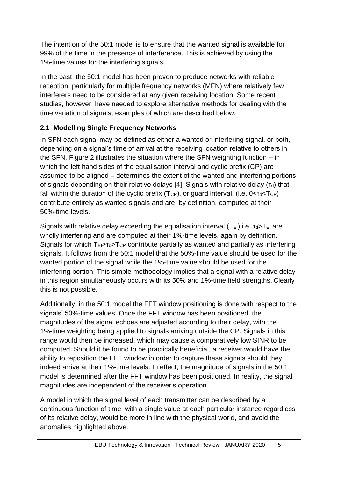The intention of the 50:1 model is to ensure that the wanted signal is available for 99% of the time in the presence of interference. This is achieved by using the 1%-time values for the interfering signals.

In the past, the 50:1 model has been proven to produce networks with reliable reception, particularly for multiple frequency networks (MFN) where relatively few interferers need to be considered at any given receiving location. Some recent studies, however, have needed to explore alternative methods for dealing with the time variation of signals, examples of which are described below.

## **2.1 Modelling Single Frequency Networks**

In SFN each signal may be defined as either a wanted or interfering signal, or both, depending on a signal's time of arrival at the receiving location relative to others in the SFN. Figure 2 illustrates the situation where the SFN weighting function – in which the left hand sides of the equalisation interval and cyclic prefix (CP) are assumed to be aligned – determines the extent of the wanted and interfering portions of signals depending on their relative delays [4]. Signals with relative delay  $(\tau_d)$  that fall within the duration of the cyclic prefix  $(T_{CP})$ , or guard interval, (i.e.  $0 < T_d < T_{CP}$ ) contribute entirely as wanted signals and are, by definition, computed at their 50%-time levels.

Signals with relative delay exceeding the equalisation interval  $(T_{EI})$  i.e.  $T_{d} > T_{EI}$  are wholly interfering and are computed at their 1%-time levels, again by definition. Signals for which  $T_{E1} > T_{G2}$  contribute partially as wanted and partially as interfering signals. It follows from the 50:1 model that the 50%-time value should be used for the wanted portion of the signal while the 1%-time value should be used for the interfering portion. This simple methodology implies that a signal with a relative delay in this region simultaneously occurs with its 50% and 1%-time field strengths. Clearly this is not possible.

Additionally, in the 50:1 model the FFT window positioning is done with respect to the signals' 50%-time values. Once the FFT window has been positioned, the magnitudes of the signal echoes are adjusted according to their delay, with the 1%-time weighting being applied to signals arriving outside the CP. Signals in this range would then be increased, which may cause a comparatively low SINR to be computed. Should it be found to be practically beneficial, a receiver would have the ability to reposition the FFT window in order to capture these signals should they indeed arrive at their 1%-time levels. In effect, the magnitude of signals in the 50:1 model is determined after the FFT window has been positioned. In reality, the signal magnitudes are independent of the receiver's operation.

A model in which the signal level of each transmitter can be described by a continuous function of time, with a single value at each particular instance regardless of its relative delay, would be more in line with the physical world, and avoid the anomalies highlighted above.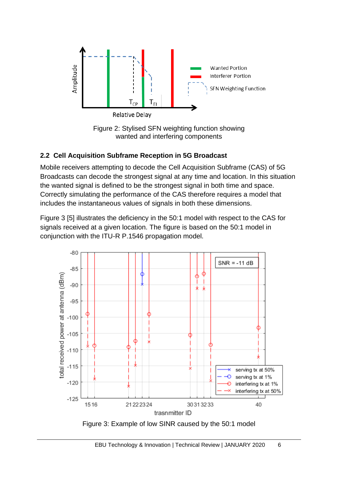

Figure 2: Stylised SFN weighting function showing wanted and interfering components

## **2.2 Cell Acquisition Subframe Reception in 5G Broadcast**

Mobile receivers attempting to decode the Cell Acquisition Subframe (CAS) of 5G Broadcasts can decode the strongest signal at any time and location. In this situation the wanted signal is defined to be the strongest signal in both time and space. Correctly simulating the performance of the CAS therefore requires a model that includes the instantaneous values of signals in both these dimensions.

Figure 3 [5] illustrates the deficiency in the 50:1 model with respect to the CAS for signals received at a given location. The figure is based on the 50:1 model in conjunction with the ITU-R P.1546 propagation model.

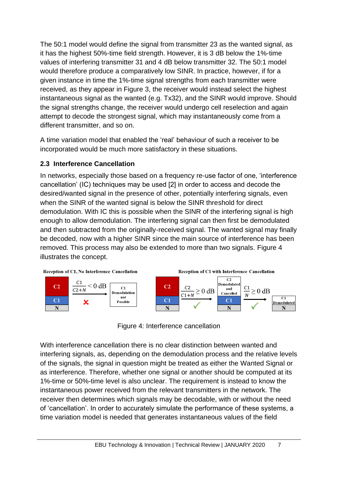The 50:1 model would define the signal from transmitter 23 as the wanted signal, as it has the highest 50%-time field strength. However, it is 3 dB below the 1%-time values of interfering transmitter 31 and 4 dB below transmitter 32. The 50:1 model would therefore produce a comparatively low SINR. In practice, however, if for a given instance in time the 1%-time signal strengths from each transmitter were received, as they appear in Figure 3, the receiver would instead select the highest instantaneous signal as the wanted (e.g. Tx32), and the SINR would improve. Should the signal strengths change, the receiver would undergo cell reselection and again attempt to decode the strongest signal, which may instantaneously come from a different transmitter, and so on.

A time variation model that enabled the 'real' behaviour of such a receiver to be incorporated would be much more satisfactory in these situations.

## **2.3 Interference Cancellation**

In networks, especially those based on a frequency re-use factor of one, 'interference cancellation' (IC) techniques may be used [2] in order to access and decode the desired/wanted signal in the presence of other, potentially interfering signals, even when the SINR of the wanted signal is below the SINR threshold for direct demodulation. With IC this is possible when the SINR of the interfering signal is high enough to allow demodulation. The interfering signal can then first be demodulated and then subtracted from the originally-received signal. The wanted signal may finally be decoded, now with a higher SINR since the main source of interference has been removed. This process may also be extended to more than two signals. Figure 4 illustrates the concept.



Figure 4: Interference cancellation

With interference cancellation there is no clear distinction between wanted and interfering signals, as, depending on the demodulation process and the relative levels of the signals, the signal in question might be treated as either the Wanted Signal or as interference. Therefore, whether one signal or another should be computed at its 1%-time or 50%-time level is also unclear. The requirement is instead to know the instantaneous power received from the relevant transmitters in the network. The receiver then determines which signals may be decodable, with or without the need of 'cancellation'. In order to accurately simulate the performance of these systems, a time variation model is needed that generates instantaneous values of the field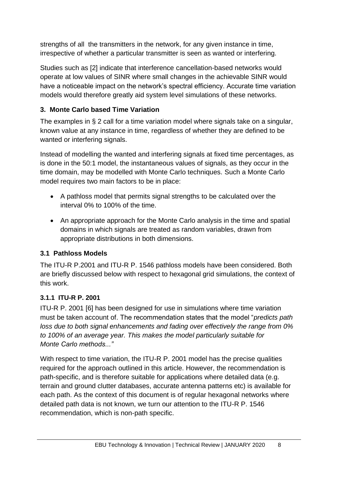strengths of all the transmitters in the network, for any given instance in time, irrespective of whether a particular transmitter is seen as wanted or interfering.

Studies such as [2] indicate that interference cancellation-based networks would operate at low values of SINR where small changes in the achievable SINR would have a noticeable impact on the network's spectral efficiency. Accurate time variation models would therefore greatly aid system level simulations of these networks.

## **3. Monte Carlo based Time Variation**

The examples in § 2 call for a time variation model where signals take on a singular, known value at any instance in time, regardless of whether they are defined to be wanted or interfering signals.

Instead of modelling the wanted and interfering signals at fixed time percentages, as is done in the 50:1 model, the instantaneous values of signals, as they occur in the time domain, may be modelled with Monte Carlo techniques. Such a Monte Carlo model requires two main factors to be in place:

- A pathloss model that permits signal strengths to be calculated over the interval 0% to 100% of the time.
- An appropriate approach for the Monte Carlo analysis in the time and spatial domains in which signals are treated as random variables, drawn from appropriate distributions in both dimensions.

### **3.1 Pathloss Models**

The ITU-R P.2001 and ITU-R P. 1546 pathloss models have been considered. Both are briefly discussed below with respect to hexagonal grid simulations, the context of this work.

### **3.1.1 ITU-R P. 2001**

ITU-R P. 2001 [6] has been designed for use in simulations where time variation must be taken account of. The recommendation states that the model "*predicts path loss due to both signal enhancements and fading over effectively the range from 0% to 100% of an average year. This makes the model particularly suitable for Monte Carlo methods..."*

With respect to time variation, the ITU-R P. 2001 model has the precise qualities required for the approach outlined in this article. However, the recommendation is path-specific, and is therefore suitable for applications where detailed data (e.g. terrain and ground clutter databases, accurate antenna patterns etc) is available for each path. As the context of this document is of regular hexagonal networks where detailed path data is not known, we turn our attention to the ITU-R P. 1546 recommendation, which is non-path specific.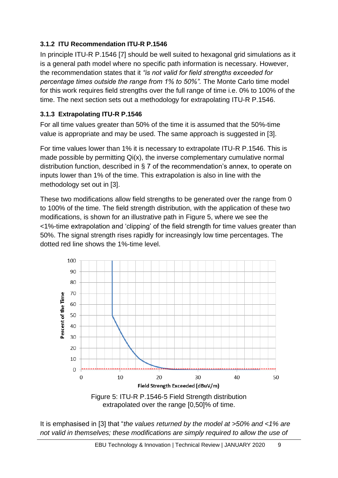#### **3.1.2 ITU Recommendation ITU-R P.1546**

In principle ITU-R P.1546 [7] should be well suited to hexagonal grid simulations as it is a general path model where no specific path information is necessary. However, the recommendation states that it *"is not valid for field strengths exceeded for percentage times outside the range from 1% to 50%".* The Monte Carlo time model for this work requires field strengths over the full range of time i.e. 0% to 100% of the time. The next section sets out a methodology for extrapolating ITU-R P.1546.

#### **3.1.3 Extrapolating ITU-R P.1546**

For all time values greater than 50% of the time it is assumed that the 50%-time value is appropriate and may be used. The same approach is suggested in [3].

For time values lower than 1% it is necessary to extrapolate ITU-R P.1546. This is made possible by permitting Qi(x), the inverse complementary cumulative normal distribution function, described in § 7 of the recommendation's annex, to operate on inputs lower than 1% of the time. This extrapolation is also in line with the methodology set out in [3].

These two modifications allow field strengths to be generated over the range from 0 to 100% of the time. The field strength distribution, with the application of these two modifications, is shown for an illustrative path in Figure 5, where we see the <1%-time extrapolation and 'clipping' of the field strength for time values greater than 50%. The signal strength rises rapidly for increasingly low time percentages. The dotted red line shows the 1%-time level.



Figure 5: ITU-R P.1546-5 Field Strength distribution extrapolated over the range [0,50]% of time.

It is emphasised in [3] that "*the values returned by the model at >50% and <1% are not valid in themselves; these modifications are simply required to allow the use of*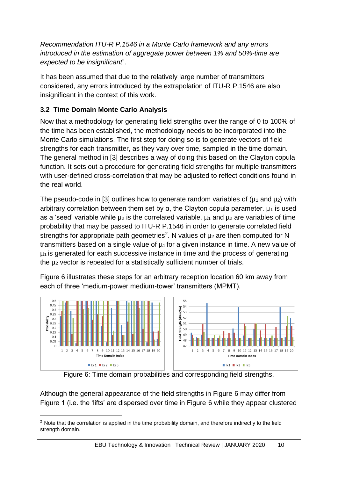*Recommendation ITU-R P.1546 in a Monte Carlo framework and any errors introduced in the estimation of aggregate power between 1% and 50%-time are expected to be insignificant*".

It has been assumed that due to the relatively large number of transmitters considered, any errors introduced by the extrapolation of ITU-R P.1546 are also insignificant in the context of this work.

## **3.2 Time Domain Monte Carlo Analysis**

Now that a methodology for generating field strengths over the range of 0 to 100% of the time has been established, the methodology needs to be incorporated into the Monte Carlo simulations. The first step for doing so is to generate vectors of field strengths for each transmitter, as they vary over time, sampled in the time domain. The general method in [3] describes a way of doing this based on the Clayton copula function. It sets out a procedure for generating field strengths for multiple transmitters with user-defined cross-correlation that may be adjusted to reflect conditions found in the real world.

The pseudo-code in [3] outlines how to generate random variables of  $(\mu_1$  and  $\mu_2)$  with arbitrary correlation between them set by  $\alpha$ , the Clayton copula parameter.  $\mu_1$  is used as a 'seed' variable while  $\mu_2$  is the correlated variable.  $\mu_1$  and  $\mu_2$  are variables of time probability that may be passed to ITU-R P.1546 in order to generate correlated field strengths for appropriate path geometries<sup>2</sup>. N values of  $\mu_2$  are then computed for N transmitters based on a single value of  $\mu_1$  for a given instance in time. A new value of  $\mu_1$  is generated for each successive instance in time and the process of generating the µ<sup>2</sup> vector is repeated for a statistically sufficient number of trials.

Figure 6 illustrates these steps for an arbitrary reception location 60 km away from each of three 'medium-power medium-tower' transmitters (MPMT).



Figure 6: Time domain probabilities and corresponding field strengths.

Although the general appearance of the field strengths in Figure 6 may differ from Figure 1 (i.e. the 'lifts' are dispersed over time in Figure 6 while they appear clustered

 $2$  Note that the correlation is applied in the time probability domain, and therefore indirectly to the field strength domain.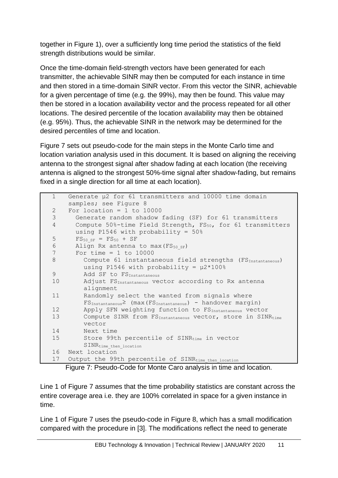together in Figure 1), over a sufficiently long time period the statistics of the field strength distributions would be similar.

Once the time-domain field-strength vectors have been generated for each transmitter, the achievable SINR may then be computed for each instance in time and then stored in a time-domain SINR vector. From this vector the SINR, achievable for a given percentage of time (e.g. the 99%), may then be found. This value may then be stored in a location availability vector and the process repeated for all other locations. The desired percentile of the location availability may then be obtained (e.g. 95%). Thus, the achievable SINR in the network may be determined for the desired percentiles of time and location.

Figure 7 sets out pseudo-code for the main steps in the Monte Carlo time and location variation analysis used in this document. It is based on aligning the receiving antenna to the strongest signal after shadow fading at each location (the receiving antenna is aligned to the strongest 50%-time signal after shadow-fading, but remains fixed in a single direction for all time at each location).

```
1 Generate µ2 for 61 transmitters and 10000 time domain 
    samples; see Figure 8
2 For location = 1 to 10000
3 Generate random shadow fading (SF) for 61 transmitters
4 Compute 50%-time Field Strength, FS<sub>50</sub>, for 61 transmitters
      using P1546 with probability = 50%
5 F S_{50 SF} = F S_{50} + SF6 Align Rx antenna to max(FS_{50S}F)7 For time = 1 to 10000
8 Compute 61 instantaneous field strengths (FS<sub>Instantaneous</sub>)
         using P1546 with probability = \mu2*100%
9 Add SF to FS<sub>Instantaneous</sub>
10 Adjust FS<sub>Instantaneous</sub> vector according to Rx antenna
         alignment
11 Randomly select the wanted from signals where 
         FSInstantaneous≥ (max(FSInstantaneous) - handover margin)
12 Apply SFN weighting function to FS<sub>Instantaneous</sub> vector
13 Compute SINR from FS<sub>Instantaneous</sub> vector, store in SINR<sub>time</sub>
        vector
14 Next time
15 Store 99th percentile of SINR<sub>time</sub> in vector
         SINR<sub>time</sub> then location
16 Next location
17 Output the 99th percentile of SINR<sub>time then location</sub>
```
Figure 7: Pseudo-Code for Monte Caro analysis in time and location.

Line 1 of Figure 7 assumes that the time probability statistics are constant across the entire coverage area i.e. they are 100% correlated in space for a given instance in time.

Line 1 of Figure 7 uses the pseudo-code in Figure 8, which has a small modification compared with the procedure in [3]. The modifications reflect the need to generate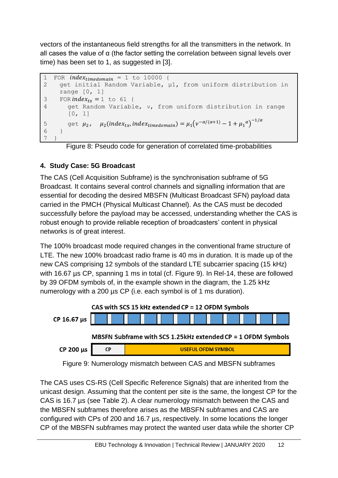vectors of the instantaneous field strengths for all the transmitters in the network. In all cases the value of α (the factor setting the correlation between signal levels over time) has been set to 1, as suggested in [3].

```
1 FOR index_{timedomain} = 1 to 10000 {<br>2 qet initial Random Variable, \mu2 get initial Random Variable, µ1, from uniform distribution in 
      range [0, 1]
3 FOR index_{tr} = 1 to 61 {
4 get Random Variable, ν, from uniform distribution in range 
         [0, 1]
5 get \mu_2, \mu_2(indev_{tx}, index_{timedomain}) = \mu_1(v^{-\alpha/(\alpha+1)} - 1 + \mu_1^{\alpha})^{-1/\alpha}6 }
7 }
```
Figure 8: Pseudo code for generation of correlated time-probabilities

## **4. Study Case: 5G Broadcast**

The CAS (Cell Acquisition Subframe) is the synchronisation subframe of 5G Broadcast. It contains several control channels and signalling information that are essential for decoding the desired MBSFN (Multicast Broadcast SFN) payload data carried in the PMCH (Physical Multicast Channel). As the CAS must be decoded successfully before the payload may be accessed, understanding whether the CAS is robust enough to provide reliable reception of broadcasters' content in physical networks is of great interest.

The 100% broadcast mode required changes in the conventional frame structure of LTE. The new 100% broadcast radio frame is 40 ms in duration. It is made up of the new CAS comprising 12 symbols of the standard LTE subcarrier spacing (15 kHz) with 16.67 µs CP, spanning 1 ms in total (cf. Figure 9). In Rel-14, these are followed by 39 OFDM symbols of, in the example shown in the diagram, the 1.25 kHz numerology with a 200 µs CP (i.e. each symbol is of 1 ms duration).



Figure 9: Numerology mismatch between CAS and MBSFN subframes

The CAS uses CS-RS (Cell Specific Reference Signals) that are inherited from the unicast design. Assuming that the content per site is the same, the longest CP for the CAS is 16.7 µs (see Table 2). A clear numerology mismatch between the CAS and the MBSFN subframes therefore arises as the MBSFN subframes and CAS are configured with CPs of 200 and 16.7 µs, respectively. In some locations the longer CP of the MBSFN subframes may protect the wanted user data while the shorter CP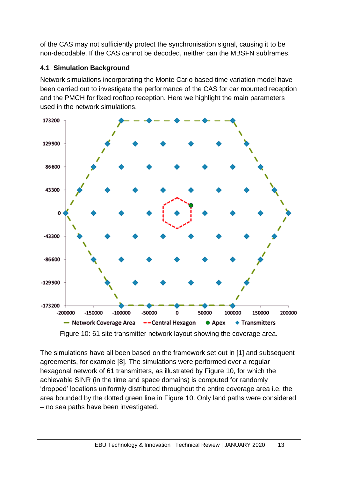of the CAS may not sufficiently protect the synchronisation signal, causing it to be non-decodable. If the CAS cannot be decoded, neither can the MBSFN subframes.

## **4.1 Simulation Background**

Network simulations incorporating the Monte Carlo based time variation model have been carried out to investigate the performance of the CAS for car mounted reception and the PMCH for fixed rooftop reception. Here we highlight the main parameters used in the network simulations.



Figure 10: 61 site transmitter network layout showing the coverage area.

The simulations have all been based on the framework set out in [1] and subsequent agreements, for example [8]. The simulations were performed over a regular hexagonal network of 61 transmitters, as illustrated by Figure 10, for which the achievable SINR (in the time and space domains) is computed for randomly 'dropped' locations uniformly distributed throughout the entire coverage area i.e. the area bounded by the dotted green line in Figure 10. Only land paths were considered – no sea paths have been investigated.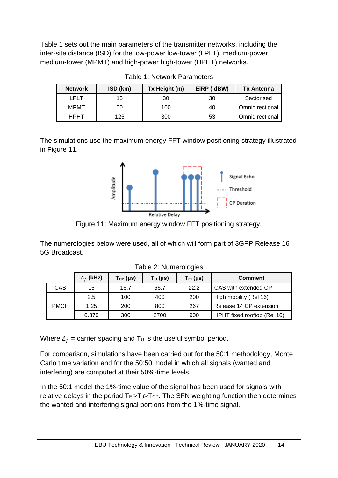Table 1 sets out the main parameters of the transmitter networks, including the inter-site distance (ISD) for the low-power low-tower (LPLT), medium-power medium-tower (MPMT) and high-power high-tower (HPHT) networks.

| <b>Network</b> | ISD (km) | Tx Height (m) | EiRP (dBW) | <b>Tx Antenna</b> |
|----------------|----------|---------------|------------|-------------------|
| LPLT           | 15       | 30            | 30         | Sectorised        |
| <b>MPMT</b>    | 50       | 100           | 40         | Omnidirectional   |
| <b>HPHT</b>    | 125      | 300           | 53         | Omnidirectional   |

Table 1: Network Parameters

The simulations use the maximum energy FFT window positioning strategy illustrated in Figure 11.



Figure 11: Maximum energy window FFT positioning strategy.

The numerologies below were used, all of which will form part of 3GPP Release 16 5G Broadcast.

|             | $\Delta_f$ (kHz) | $T_{CP}$ (µs) | $T_U$ (µs) | $T_{EI}$ (µs) | <b>Comment</b>              |  |
|-------------|------------------|---------------|------------|---------------|-----------------------------|--|
| CAS         | 15               | 16.7          | 66.7       | 22.2          | CAS with extended CP        |  |
| <b>PMCH</b> | $2.5\,$          | 100           | 400        | 200           | High mobility (Rel 16)      |  |
|             | 1.25             | 200           | 800        | 267           | Release 14 CP extension     |  |
|             | 0.370            | 300           | 2700       | 900           | HPHT fixed rooftop (Rel 16) |  |

Table 2: Numerologies

Where  $\Delta_f$  = carrier spacing and T<sub>U</sub> is the useful symbol period.

For comparison, simulations have been carried out for the 50:1 methodology, Monte Carlo time variation and for the 50:50 model in which all signals (wanted and interfering) are computed at their 50%-time levels.

In the 50:1 model the 1%-time value of the signal has been used for signals with relative delays in the period  $T_{E} > T_{d} > T_{CP}$ . The SFN weighting function then determines the wanted and interfering signal portions from the 1%-time signal.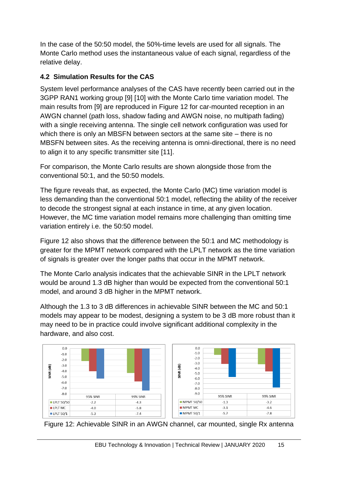In the case of the 50:50 model, the 50%-time levels are used for all signals. The Monte Carlo method uses the instantaneous value of each signal, regardless of the relative delay.

## **4.2 Simulation Results for the CAS**

System level performance analyses of the CAS have recently been carried out in the 3GPP RAN1 working group [9] [10] with the Monte Carlo time variation model. The main results from [9] are reproduced in Figure 12 for car-mounted reception in an AWGN channel (path loss, shadow fading and AWGN noise, no multipath fading) with a single receiving antenna. The single cell network configuration was used for which there is only an MBSFN between sectors at the same site – there is no MBSFN between sites. As the receiving antenna is omni-directional, there is no need to align it to any specific transmitter site [11].

For comparison, the Monte Carlo results are shown alongside those from the conventional 50:1, and the 50:50 models.

The figure reveals that, as expected, the Monte Carlo (MC) time variation model is less demanding than the conventional 50:1 model, reflecting the ability of the receiver to decode the strongest signal at each instance in time, at any given location. However, the MC time variation model remains more challenging than omitting time variation entirely i.e. the 50:50 model.

Figure 12 also shows that the difference between the 50:1 and MC methodology is greater for the MPMT network compared with the LPLT network as the time variation of signals is greater over the longer paths that occur in the MPMT network.

The Monte Carlo analysis indicates that the achievable SINR in the LPLT network would be around 1.3 dB higher than would be expected from the conventional 50:1 model, and around 3 dB higher in the MPMT network.

Although the 1.3 to 3 dB differences in achievable SINR between the MC and 50:1 models may appear to be modest, designing a system to be 3 dB more robust than it may need to be in practice could involve significant additional complexity in the hardware, and also cost.



Figure 12: Achievable SINR in an AWGN channel, car mounted, single Rx antenna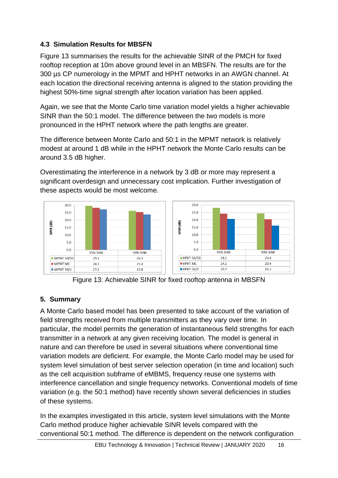## **4.3 Simulation Results for MBSFN**

Figure 13 summarises the results for the achievable SINR of the PMCH for fixed rooftop reception at 10m above ground level in an MBSFN. The results are for the 300 µs CP numerology in the MPMT and HPHT networks in an AWGN channel. At each location the directional receiving antenna is aligned to the station providing the highest 50%-time signal strength after location variation has been applied.

Again, we see that the Monte Carlo time variation model yields a higher achievable SINR than the 50:1 model. The difference between the two models is more pronounced in the HPHT network where the path lengths are greater.

The difference between Monte Carlo and 50:1 in the MPMT network is relatively modest at around 1 dB while in the HPHT network the Monte Carlo results can be around 3.5 dB higher.

Overestimating the interference in a network by 3 dB or more may represent a significant overdesign and unnecessary cost implication. Further investigation of these aspects would be most welcome.



Figure 13: Achievable SINR for fixed rooftop antenna in MBSFN

## **5. Summary**

A Monte Carlo based model has been presented to take account of the variation of field strengths received from multiple transmitters as they vary over time. In particular, the model permits the generation of instantaneous field strengths for each transmitter in a network at any given receiving location. The model is general in nature and can therefore be used in several situations where conventional time variation models are deficient. For example, the Monte Carlo model may be used for system level simulation of best server selection operation (in time and location) such as the cell acquisition subframe of eMBMS, frequency reuse one systems with interference cancellation and single frequency networks. Conventional models of time variation (e.g. the 50:1 method) have recently shown several deficiencies in studies of these systems.

In the examples investigated in this article, system level simulations with the Monte Carlo method produce higher achievable SINR levels compared with the conventional 50:1 method. The difference is dependent on the network configuration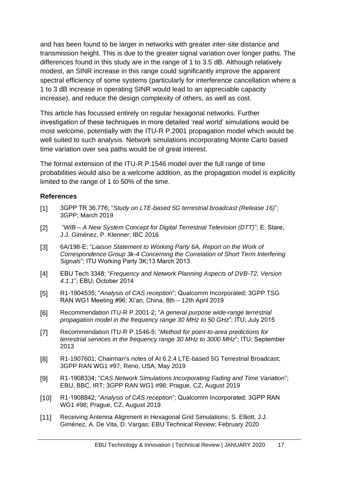and has been found to be larger in networks with greater inter-site distance and transmission height. This is due to the greater signal variation over longer paths. The differences found in this study are in the range of 1 to 3.5 dB. Although relatively modest, an SINR increase in this range could significantly improve the apparent spectral efficiency of some systems (particularly for interference cancellation where a 1 to 3 dB increase in operating SINR would lead to an appreciable capacity increase), and reduce the design complexity of others, as well as cost.

This article has focussed entirely on regular hexagonal networks. Further investigation of these techniques in more detailed 'real world' simulations would be most welcome, potentially with the ITU-R P.2001 propagation model which would be well suited to such analysis. Network simulations incorporating Monte Carlo based time variation over sea paths would be of great interest.

The formal extension of the ITU-R P.1546 model over the full range of time probabilities would also be a welcome addition, as the propagation model is explicitly limited to the range of 1 to 50% of the time.

#### **References**

- [1] 3GPP TR 36.776; "*Study on LTE-based 5G terrestrial broadcast (Release 16)*"; 3GPP; March 2019
- [2] "*WIB – A New System Concept for Digital Terrestrial Television (DTT)*"; E. Stare, J.J. Giménez, P. Klenner; IBC 2016
- [3] 6A/198-E; "*Liaison Statement to Working Party 6A, Report on the Work of Correspondence Group 3k-4 Concerning the Correlation of Short Term Interfering Signals*"; ITU Working Party 3K;13 March 2013
- [4] EBU Tech 3348; "*Frequency and Network Planning Aspects of DVB-T2, Version 4.1.1*"; EBU; October 2014
- [5] R1-1904535; "*Analysis of CAS reception*"; Qualcomm Incorporated; 3GPP TSG RAN WG1 Meeting #96; Xi'an, China, 8th – 12th April 2019
- [6] Recommendation ITU-R P.2001-2; "*A general purpose wide-range terrestrial propagation model in the frequency range 30 MHz to 50 GHz*"; ITU; July 2015
- [7] Recommendation ITU-R P.1546-5; "*Method for point-to-area predictions for terrestrial services in the frequency range 30 MHz to 3000 MHz*"; ITU; September 2013
- [8] R1-1907601; Chairman's notes of AI 6.2.4 LTE-based 5G Terrestrial Broadcast; 3GPP RAN WG1 #97; Reno, USA, May 2019
- [9] R1-1908334; "*CAS Network Simulations Incorporating Fading and Time Variation*"; EBU, BBC, IRT; 3GPP RAN WG1 #98; Prague, CZ, August 2019
- [10] R1-1908842; "*Analysis of CAS reception*"; Qualcomm Incorporated; 3GPP RAN WG1 #98; Prague, CZ, August 2019
- [11] Receiving Antenna Alignment in Hexagonal Grid Simulations; S. Elliott, J.J. Giménez, A. De Vita, D. Vargas; EBU Technical Review; February 2020